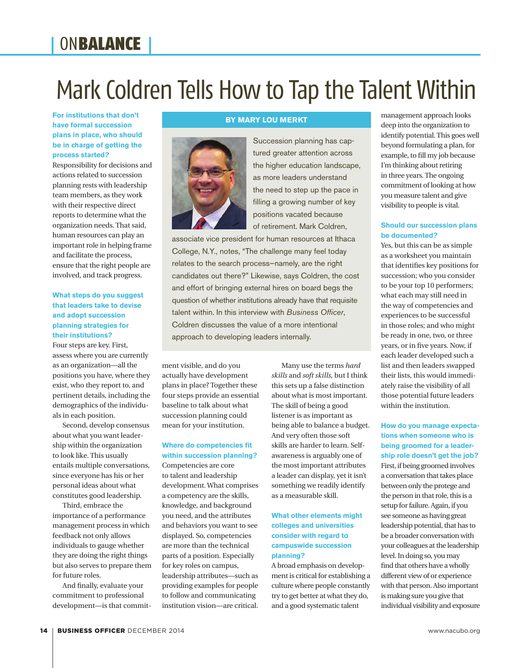### **ONBALANCE**

# Mark Coldren Tells How to Tap the Talent Within

**For institutions that don't have formal succession plans in place, who should be in charge of getting the process started?** 

Responsibility for decisions and actions related to succession planning rests with leadership team members, as they work with their respective direct reports to determine what the organization needs. That said, human resources can play an important role in helping frame and facilitate the process, ensure that the right people are involved, and track progress.

#### **What steps do you suggest that leaders take to devise and adopt succession planning strategies for their institutions?**

Four steps are key. First, assess where you are currently as an organization—all the positions you have, where they exist, who they report to, and pertinent details, including the demographics of the individuals in each position.

Second, develop consensus about what you want leadership within the organization to look like. This usually entails multiple conversations, since everyone has his or her personal ideas about what constitutes good leadership.

Third, embrace the importance of a performance management process in which feedback not only allows individuals to gauge whether they are doing the right things but also serves to prepare them for future roles.

And finally, evaluate your commitment to professional development—is that commit-

#### **BY MARY LOU MERKT**



Succession planning has captured greater attention across the higher education landscape, as more leaders understand the need to step up the pace in filling a growing number of key positions vacated because of retirement. Mark Coldren,

associate vice president for human resources at Ithaca College, N.Y., notes, "The challenge many feel today relates to the search process—namely, are the right candidates out there?" Likewise, says Coldren, the cost and effort of bringing external hires on board begs the question of whether institutions already have that requisite talent within. In this interview with *Business Officer*, Coldren discusses the value of a more intentional approach to developing leaders internally.

ment visible, and do you actually have development plans in place? Together these four steps provide an essential baseline to talk about what succession planning could mean for your institution.

#### **Where do competencies fit within succession planning?**

Competencies are core to talent and leadership development. What comprises a competency are the skills, knowledge, and background you need, and the attributes and behaviors you want to see displayed. So, competencies are more than the technical parts of a position. Especially for key roles on campus, leadership attributes—such as providing examples for people to follow and communicating institution vision—are critical.

Many use the terms *hard skills* and *soft skills,* but I think this sets up a false distinction about what is most important. The skill of being a good listener is as important as being able to balance a budget. And very often those soft skills are harder to learn. Selfawareness is arguably one of the most important attributes a leader can display, yet it isn't something we readily identify as a measurable skill.

#### **What other elements might colleges and universities consider with regard to campuswide succession planning?**

A broad emphasis on development is critical for establishing a culture where people constantly try to get better at what they do, and a good systematic talent

management approach looks deep into the organization to identify potential. This goes well beyond formulating a plan, for example, to fill my job because I'm thinking about retiring in three years. The ongoing commitment of looking at how you measure talent and give visibility to people is vital.

#### **Should our succession plans be documented?**

Yes, but this can be as simple as a worksheet you maintain that identifies key positions for succession; who you consider to be your top 10 performers; what each may still need in the way of competencies and experiences to be successful in those roles; and who might be ready in one, two, or three years, or in five years. Now, if each leader developed such a list and then leaders swapped their lists, this would immediately raise the visibility of all those potential future leaders within the institution.

#### **How do you manage expectations when someone who is being groomed for a leadership role doesn't get the job?**

First, if being groomed involves a conversation that takes place between only the protege and the person in that role, this is a setup for failure. Again, if you see someone as having great leadership potential, that has to be a broader conversation with your colleagues at the leadership level. In doing so, you may find that others have a wholly different view of or experience with that person. Also important is making sure you give that individual visibility and exposure